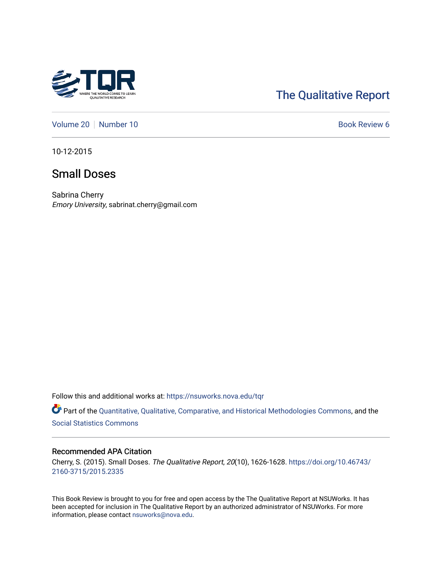

# [The Qualitative Report](https://nsuworks.nova.edu/tqr)

[Volume 20](https://nsuworks.nova.edu/tqr/vol20) | [Number 10](https://nsuworks.nova.edu/tqr/vol20/iss10) Book Review 6

10-12-2015

# Small Doses

Sabrina Cherry Emory University, sabrinat.cherry@gmail.com

Follow this and additional works at: [https://nsuworks.nova.edu/tqr](https://nsuworks.nova.edu/tqr?utm_source=nsuworks.nova.edu%2Ftqr%2Fvol20%2Fiss10%2F6&utm_medium=PDF&utm_campaign=PDFCoverPages) 

Part of the [Quantitative, Qualitative, Comparative, and Historical Methodologies Commons,](http://network.bepress.com/hgg/discipline/423?utm_source=nsuworks.nova.edu%2Ftqr%2Fvol20%2Fiss10%2F6&utm_medium=PDF&utm_campaign=PDFCoverPages) and the [Social Statistics Commons](http://network.bepress.com/hgg/discipline/1275?utm_source=nsuworks.nova.edu%2Ftqr%2Fvol20%2Fiss10%2F6&utm_medium=PDF&utm_campaign=PDFCoverPages) 

### Recommended APA Citation

Cherry, S. (2015). Small Doses. The Qualitative Report, 20(10), 1626-1628. [https://doi.org/10.46743/](https://doi.org/10.46743/2160-3715/2015.2335) [2160-3715/2015.2335](https://doi.org/10.46743/2160-3715/2015.2335)

This Book Review is brought to you for free and open access by the The Qualitative Report at NSUWorks. It has been accepted for inclusion in The Qualitative Report by an authorized administrator of NSUWorks. For more information, please contact [nsuworks@nova.edu.](mailto:nsuworks@nova.edu)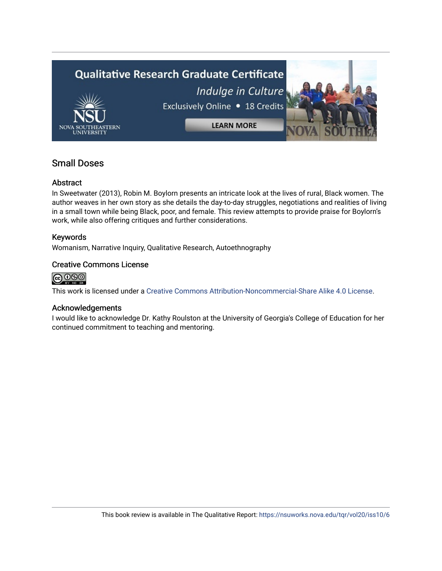# Qualitative Research Graduate Certificate Indulge in Culture Exclusively Online . 18 Credits **LEARN MORE**

# Small Doses

# Abstract

In Sweetwater (2013), Robin M. Boylorn presents an intricate look at the lives of rural, Black women. The author weaves in her own story as she details the day-to-day struggles, negotiations and realities of living in a small town while being Black, poor, and female. This review attempts to provide praise for Boylorn's work, while also offering critiques and further considerations.

## Keywords

Womanism, Narrative Inquiry, Qualitative Research, Autoethnography

## Creative Commons License



This work is licensed under a [Creative Commons Attribution-Noncommercial-Share Alike 4.0 License](https://creativecommons.org/licenses/by-nc-sa/4.0/).

## Acknowledgements

I would like to acknowledge Dr. Kathy Roulston at the University of Georgia's College of Education for her continued commitment to teaching and mentoring.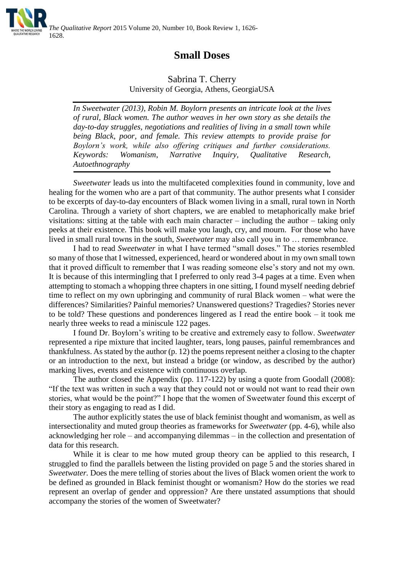

# **Small Doses**

Sabrina T. Cherry University of Georgia, Athens, GeorgiaUSA

*In Sweetwater (2013), Robin M. Boylorn presents an intricate look at the lives of rural, Black women. The author weaves in her own story as she details the day-to-day struggles, negotiations and realities of living in a small town while being Black, poor, and female. This review attempts to provide praise for Boylorn's work, while also offering critiques and further considerations. Keywords: Womanism, Narrative Inquiry, Qualitative Research, Autoethnography*

*Sweetwater* leads us into the multifaceted complexities found in community, love and healing for the women who are a part of that community. The author presents what I consider to be excerpts of day-to-day encounters of Black women living in a small, rural town in North Carolina. Through a variety of short chapters, we are enabled to metaphorically make brief visitations: sitting at the table with each main character – including the author – taking only peeks at their existence. This book will make you laugh, cry, and mourn. For those who have lived in small rural towns in the south, *Sweetwater* may also call you in to … remembrance.

I had to read *Sweetwater* in what I have termed "small doses." The stories resembled so many of those that I witnessed, experienced, heard or wondered about in my own small town that it proved difficult to remember that I was reading someone else's story and not my own. It is because of this intermingling that I preferred to only read 3-4 pages at a time. Even when attempting to stomach a whopping three chapters in one sitting, I found myself needing debrief time to reflect on my own upbringing and community of rural Black women – what were the differences? Similarities? Painful memories? Unanswered questions? Tragedies? Stories never to be told? These questions and ponderences lingered as I read the entire book – it took me nearly three weeks to read a miniscule 122 pages.

I found Dr. Boylorn's writing to be creative and extremely easy to follow. *Sweetwater*  represented a ripe mixture that incited laughter, tears, long pauses, painful remembrances and thankfulness. As stated by the author (p. 12) the poems represent neither a closing to the chapter or an introduction to the next, but instead a bridge (or window, as described by the author) marking lives, events and existence with continuous overlap.

The author closed the Appendix (pp. 117-122) by using a quote from Goodall (2008): "If the text was written in such a way that they could not or would not want to read their own stories, what would be the point?" I hope that the women of Sweetwater found this excerpt of their story as engaging to read as I did.

The author explicitly states the use of black feminist thought and womanism, as well as intersectionality and muted group theories as frameworks for *Sweetwater* (pp. 4-6), while also acknowledging her role – and accompanying dilemmas – in the collection and presentation of data for this research.

While it is clear to me how muted group theory can be applied to this research, I struggled to find the parallels between the listing provided on page 5 and the stories shared in *Sweetwater.* Does the mere telling of stories about the lives of Black women orient the work to be defined as grounded in Black feminist thought or womanism? How do the stories we read represent an overlap of gender and oppression? Are there unstated assumptions that should accompany the stories of the women of Sweetwater?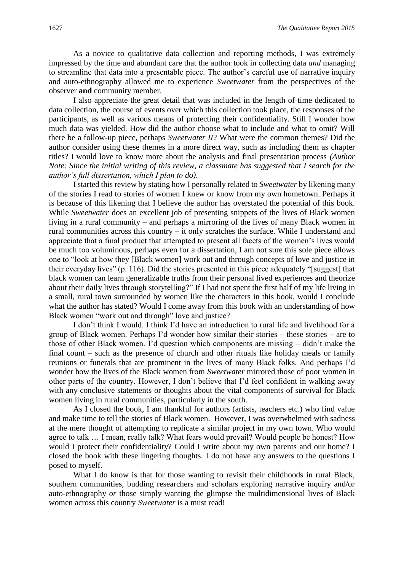As a novice to qualitative data collection and reporting methods, I was extremely impressed by the time and abundant care that the author took in collecting data *and* managing to streamline that data into a presentable piece. The author's careful use of narrative inquiry and auto-ethnography allowed me to experience *Sweetwater* from the perspectives of the observer **and** community member.

I also appreciate the great detail that was included in the length of time dedicated to data collection, the course of events over which this collection took place, the responses of the participants, as well as various means of protecting their confidentiality. Still I wonder how much data was yielded. How did the author choose what to include and what to omit? Will there be a follow-up piece, perhaps *Sweetwater II*? What were the common themes? Did the author consider using these themes in a more direct way, such as including them as chapter titles? I would love to know more about the analysis and final presentation process *(Author Note: Since the initial writing of this review, a classmate has suggested that I search for the author's full dissertation, which I plan to do)*.

I started this review by stating how I personally related to *Sweetwater* by likening many of the stories I read to stories of women I knew or know from my own hometown. Perhaps it is because of this likening that I believe the author has overstated the potential of this book. While *Sweetwater* does an excellent job of presenting snippets of the lives of Black women living in a rural community – and perhaps a mirroring of the lives of many Black women in rural communities across this country – it only scratches the surface. While I understand and appreciate that a final product that attempted to present all facets of the women's lives would be much too voluminous, perhaps even for a dissertation, I am not sure this sole piece allows one to "look at how they [Black women] work out and through concepts of love and justice in their everyday lives" (p. 116). Did the stories presented in this piece adequately "[suggest] that black women can learn generalizable truths from their personal lived experiences and theorize about their daily lives through storytelling?" If I had not spent the first half of my life living in a small, rural town surrounded by women like the characters in this book, would I conclude what the author has stated? Would I come away from this book with an understanding of how Black women "work out and through" love and justice?

I don't think I would. I think I'd have an introduction to rural life and livelihood for a group of Black women. Perhaps I'd wonder how similar their stories – these stories – are to those of other Black women. I'd question which components are missing – didn't make the final count – such as the presence of church and other rituals like holiday meals or family reunions or funerals that are prominent in the lives of many Black folks. And perhaps I'd wonder how the lives of the Black women from *Sweetwater* mirrored those of poor women in other parts of the country. However, I don't believe that I'd feel confident in walking away with any conclusive statements or thoughts about the vital components of survival for Black women living in rural communities, particularly in the south.

As I closed the book, I am thankful for authors (artists, teachers etc.) who find value and make time to tell the stories of Black women. However, I was overwhelmed with sadness at the mere thought of attempting to replicate a similar project in my own town. Who would agree to talk … I mean, really talk? What fears would prevail? Would people be honest? How would I protect their confidentiality? Could I write about my own parents and our home? I closed the book with these lingering thoughts. I do not have any answers to the questions I posed to myself.

What I do know is that for those wanting to revisit their childhoods in rural Black, southern communities, budding researchers and scholars exploring narrative inquiry and/or auto-ethnography *or* those simply wanting the glimpse the multidimensional lives of Black women across this country *Sweetwater* is a must read!